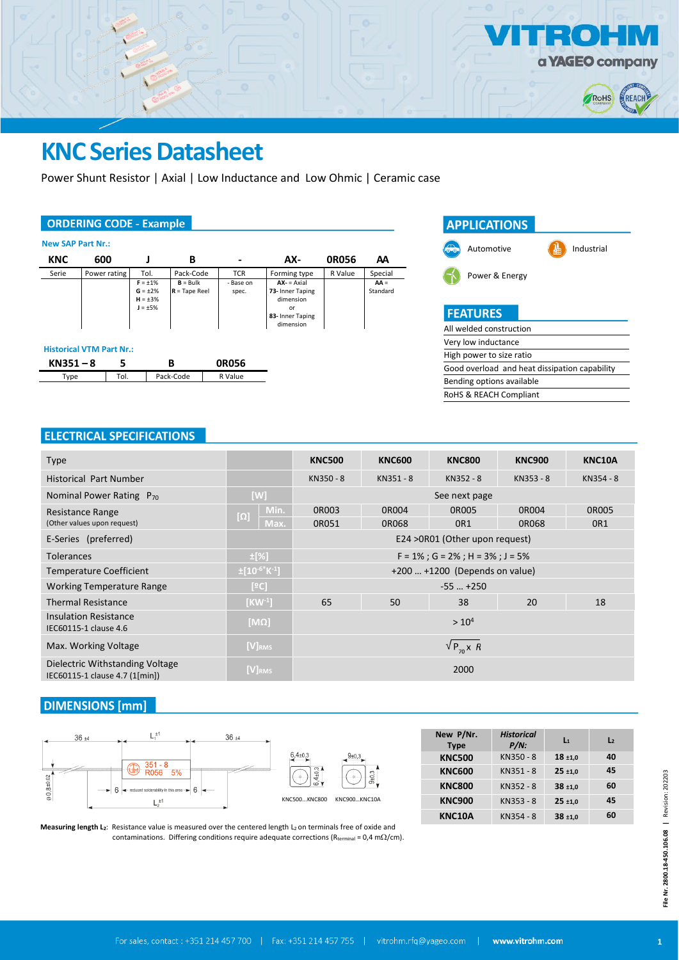

## **KNC Series Datasheet**

Power Shunt Resistor | Axial | Low Inductance and Low Ohmic | Ceramic case

### **ORDERING CODE - Example**

| <b>New SAP Part Nr.:</b>                                                                            |              |                                      |                    |                                                                                   |              |                    |         |  |  |
|-----------------------------------------------------------------------------------------------------|--------------|--------------------------------------|--------------------|-----------------------------------------------------------------------------------|--------------|--------------------|---------|--|--|
| <b>KNC</b>                                                                                          | 600          |                                      | В                  |                                                                                   | AX-          | <b>ORO56</b>       | ΑA      |  |  |
| Serie                                                                                               | Power rating | Tol.                                 | Pack-Code          | <b>TCR</b>                                                                        | Forming type | R Value            | Special |  |  |
| $F = \pm 1\%$<br>$G = \pm 2\%$<br>$H = \pm 3\%$<br>$J = \pm 5\%$<br><b>Historical VTM Part Nr.:</b> |              | $B = Bulk$<br>$R = \text{Tape Reel}$ | - Base on<br>spec. | $AX - 5A$<br>73- Inner Taping<br>dimension<br>or<br>83- Inner Taping<br>dimension |              | $AA =$<br>Standard |         |  |  |
| 5<br>$KN351 - 8$<br>в<br><b>OR056</b>                                                               |              |                                      |                    |                                                                                   |              |                    |         |  |  |
| Type                                                                                                | Tol.         |                                      | Pack-Code          | R Value                                                                           |              |                    |         |  |  |

| <b>APPLICATIONS</b>                           |            |
|-----------------------------------------------|------------|
| Automotive                                    | Industrial |
| Power & Energy                                |            |
| <b>FEATURES</b>                               |            |
| All welded construction                       |            |
| Very low inductance                           |            |
| High power to size ratio                      |            |
| Good overload and heat dissipation capability |            |
| Bending options available                     |            |
| RoHS & REACH Compliant                        |            |

## **ELECTRICAL SPECIFICATIONS**

| <b>Type</b>                                                          |                        | <b>KNC500</b>                                 | <b>KNC600</b>                     | <b>KNC800</b>   | <b>KNC900</b> | KNC10A          |  |  |  |
|----------------------------------------------------------------------|------------------------|-----------------------------------------------|-----------------------------------|-----------------|---------------|-----------------|--|--|--|
| <b>Historical Part Number</b>                                        |                        | KN350 - 8                                     | KN351-8                           | KN352 - 8       | KN353 - 8     | KN354 - 8       |  |  |  |
| Nominal Power Rating P <sub>70</sub>                                 | [W]                    | See next page                                 |                                   |                 |               |                 |  |  |  |
| Resistance Range                                                     | Min.<br>$[\Omega]$     | 0R003                                         | 0R004                             | 0R005           | 0R004         | 0R005           |  |  |  |
| (Other values upon request)                                          | Max.                   | 0R051                                         | 0R068                             | OR <sub>1</sub> | 0R068         | OR <sub>1</sub> |  |  |  |
| E-Series (preferred)                                                 |                        | E24 > 0R01 (Other upon request)               |                                   |                 |               |                 |  |  |  |
| $\pm$ [%]<br><b>Tolerances</b>                                       |                        | $F = 1\%$ ; $G = 2\%$ ; $H = 3\%$ ; $J = 5\%$ |                                   |                 |               |                 |  |  |  |
| <b>Temperature Coefficient</b>                                       | $\pm 10^{-6}$ K $-1$ ] |                                               | $+200$ $+1200$ (Depends on value) |                 |               |                 |  |  |  |
| <b>Working Temperature Range</b>                                     | [°C]                   | $-55+250$                                     |                                   |                 |               |                 |  |  |  |
| <b>Thermal Resistance</b>                                            | $[KW^{-1}]$            | 65                                            | 50                                | 38              | 20            | 18              |  |  |  |
| <b>Insulation Resistance</b><br>$[M\Omega]$<br>IEC60115-1 clause 4.6 |                        | > 10 <sup>4</sup>                             |                                   |                 |               |                 |  |  |  |
| Max. Working Voltage                                                 | $[V]_{RMS}$            | $\sqrt{P_{70}}$ x R                           |                                   |                 |               |                 |  |  |  |
| Dielectric Withstanding Voltage<br>IEC60115-1 clause 4.7 (1[min])    | [V] <sub>RMS</sub>     | 2000                                          |                                   |                 |               |                 |  |  |  |

## **DIMENSIONS [mm]**



| New P/Nr.<br><b>Type</b> | <b>Historical</b><br>$P/N$ : | $L_1$      | $\mathsf{L}$ |
|--------------------------|------------------------------|------------|--------------|
| <b>KNC500</b>            | KN350 - 8                    | $18 + 1.0$ | 40           |
| <b>KNC600</b>            | KN351-8                      | $25 + 1.0$ | 45           |
| <b>KNC800</b>            | KN352 - 8                    | $38 + 1.0$ | 60           |
| <b>KNC900</b>            | KN353 - 8                    | $25 + 1.0$ | 45           |
| <b>KNC10A</b>            | KN354 - 8                    | $38 + 1.0$ | 60           |

**Measuring length L<sub>2</sub>:** Resistance value is measured over the centered length L<sub>2</sub> on terminals free of oxide and contaminations. Differing conditions require adequate corrections ( $R_{\text{terminal}} = 0.4 \text{ m}\Omega/\text{cm}$ ).

 $9 + 0.$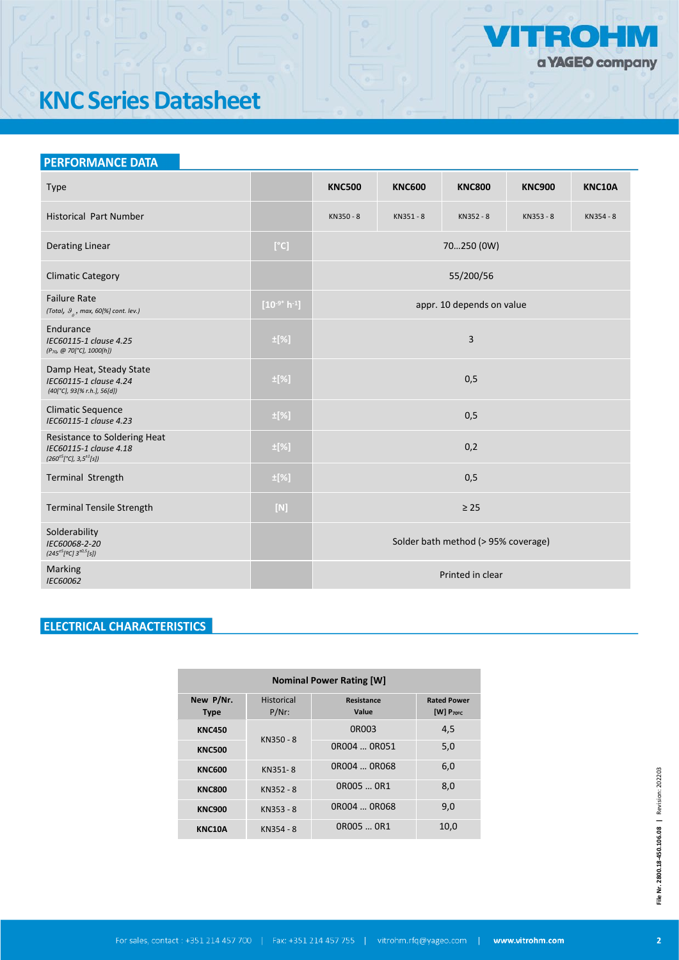

# **KNC Series Datasheet**

### **PERFORMANCE DATA**

| Type                                                                                    |                      | <b>KNC500</b>                       | <b>KNC600</b> | <b>KNC800</b>             | <b>KNC900</b> | <b>KNC10A</b> |  |  |  |  |
|-----------------------------------------------------------------------------------------|----------------------|-------------------------------------|---------------|---------------------------|---------------|---------------|--|--|--|--|
| <b>Historical Part Number</b>                                                           |                      | KN350 - 8                           | KN351-8       | KN352 - 8                 | KN353 - 8     | KN354 - 8     |  |  |  |  |
| <b>Derating Linear</b>                                                                  | [°C]                 | 70250 (0W)                          |               |                           |               |               |  |  |  |  |
| <b>Climatic Category</b>                                                                |                      | 55/200/56                           |               |                           |               |               |  |  |  |  |
| <b>Failure Rate</b><br>(Total, $\theta_a$ , max, 60[%] cont. lev.)                      | $[10^{-9^*} h^{-1}]$ |                                     |               | appr. 10 depends on value |               |               |  |  |  |  |
| Endurance<br>IEC60115-1 clause 4.25<br>(P <sub>70</sub> , @ 70[°C], 1000[h])            | $\pm$ [%]            | 3                                   |               |                           |               |               |  |  |  |  |
| Damp Heat, Steady State<br>IEC60115-1 clause 4.24<br>(40[°C], 93[% r.h.], 56[d])        | $\pm$ [%]            | 0,5                                 |               |                           |               |               |  |  |  |  |
| <b>Climatic Sequence</b><br>IEC60115-1 clause 4.23                                      | $\pm$ [%]            | 0,5                                 |               |                           |               |               |  |  |  |  |
| Resistance to Soldering Heat<br>IEC60115-1 clause 4.18<br>$(260^{+5}[°C], 3,5^{+1}[s])$ | $\pm$ [%]            | 0,2                                 |               |                           |               |               |  |  |  |  |
| Terminal Strength                                                                       | $\pm$ [%]            | 0,5                                 |               |                           |               |               |  |  |  |  |
| <b>Terminal Tensile Strength</b>                                                        | $[{\sf N}]$          | $\geq 25$                           |               |                           |               |               |  |  |  |  |
| Solderability<br>IEC60068-2-20<br>$(245^{\pm 5} [9C] 3^{\pm 0.5} [s])$                  |                      | Solder bath method (> 95% coverage) |               |                           |               |               |  |  |  |  |
| Marking<br>IEC60062                                                                     |                      |                                     |               | Printed in clear          |               |               |  |  |  |  |

## **ELECTRICAL CHARACTERISTICS**

| <b>Nominal Power Rating [W]</b> |                               |                     |                                      |  |  |  |  |  |  |
|---------------------------------|-------------------------------|---------------------|--------------------------------------|--|--|--|--|--|--|
| New P/Nr.<br><b>Type</b>        | <b>Historical</b><br>$P/Nr$ : | Resistance<br>Value | <b>Rated Power</b><br>[W] $P_{70\%}$ |  |  |  |  |  |  |
| <b>KNC450</b>                   |                               | 0R003               | 4,5                                  |  |  |  |  |  |  |
| <b>KNC500</b>                   | KN350 - 8                     | 0R004  0R051        | 5,0                                  |  |  |  |  |  |  |
| <b>KNC600</b>                   | KN351-8                       | 0R004  0R068        | 6,0                                  |  |  |  |  |  |  |
| <b>KNC800</b>                   | KN352 - 8                     | OR005  OR1          | 8,0                                  |  |  |  |  |  |  |
| <b>KNC900</b>                   | KN353 - 8                     | 0R004  0R068        | 9,0                                  |  |  |  |  |  |  |
| <b>KNC10A</b>                   | KN354 - 8                     | OR005  OR1          | 10,0                                 |  |  |  |  |  |  |